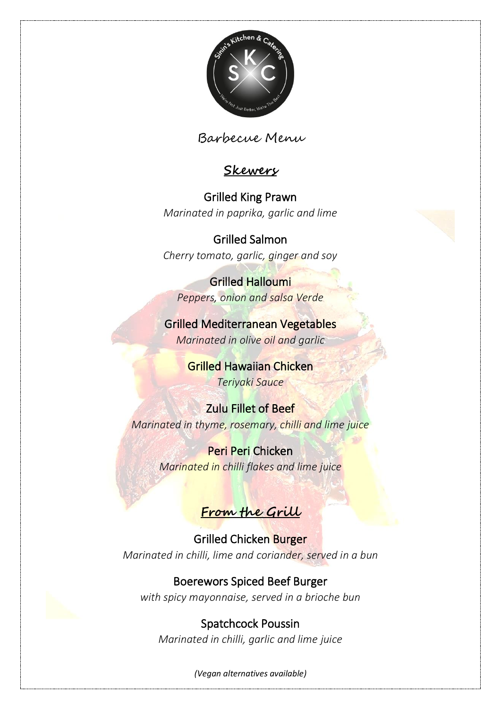

Barbecue Menu

### **Skewers**

### Grilled King Prawn

*Marinated in paprika, garlic and lime*

## Grilled Salmon *Cherry tomato, garlic, ginger and soy*

### Grilled Halloumi *Peppers, onion and salsa Verde*

Grilled Mediterranean Vegetables *Marinated in olive oil and garlic*

> Grilled Hawaiian Chicken *Teriyaki Sauce*

Zulu Fillet of Beef *Marinated in thyme, rosemary, chilli and lime juice*

> Peri Peri Chicken *Marinated in chilli flakes and lime juice*

# **From the Grill**

Grilled Chicken Burger *Marinated in chilli, lime and coriander, served in a bun* 

Boerewors Spiced Beef Burger *with spicy mayonnaise, served in a brioche bun*

Spatchcock Poussin *Marinated in chilli, garlic and lime juice*

*(Vegan alternatives available)*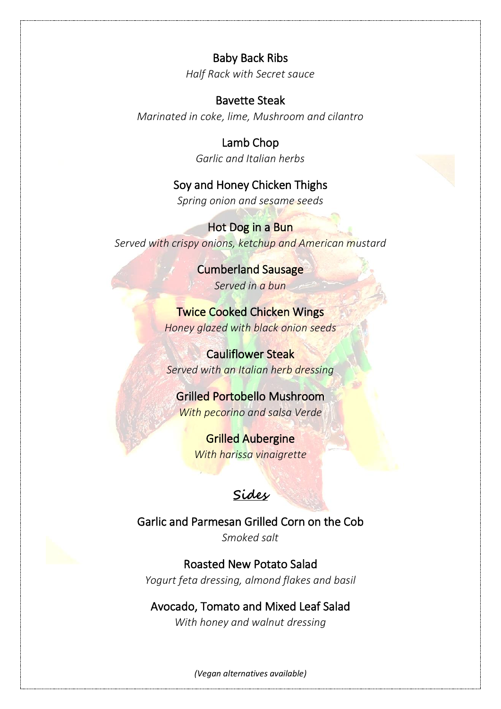Baby Back Ribs *Half Rack with Secret sauce*

Bavette Steak *Marinated in coke, lime, Mushroom and cilantro*

> Lamb Chop *Garlic and Italian herbs*

Soy and Honey Chicken Thighs *Spring onion and sesame seeds*

Hot Dog in a Bun *Served with crispy onions, ketchup and American mustard*

> Cumberland Sausage *Served in a bun*

Twice Cooked Chicken Wings *Honey glazed with black onion seeds* 

Cauliflower Steak *Served with an Italian herb dressing*

Grilled Portobello Mushroom *With pecorino and salsa Verde*

> Grilled Aubergine *With harissa vinaigrette*

## **Sides**

Garlic and Parmesan Grilled Corn on the Cob *Smoked salt*

Roasted New Potato Salad *Yogurt feta dressing, almond flakes and basil*

Avocado, Tomato and Mixed Leaf Salad *With honey and walnut dressing*

*(Vegan alternatives available)*